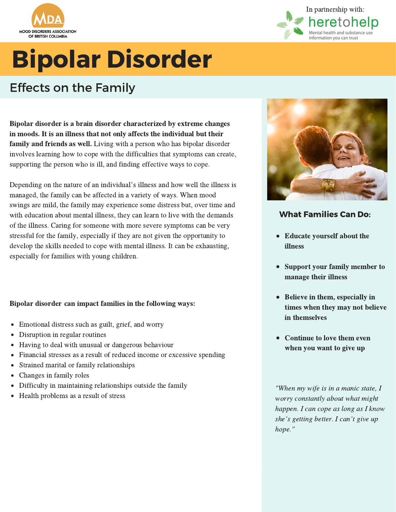



## Bipolar Disorder

### Effects on the Family

Bipolar disorder is a brain disorder characterized by extreme changes in moods. It is an illness that not only affects the individual but their family and friends as well. Living with a person who has bipolar disorder involves learning how to cope with the difficulties that symptoms can create, supporting the person who is ill, and finding effective ways to cope.

Depending on the nature of an individual's illness and how well the illness is managed, the family can be affected in a variety of ways. When mood swings are mild, the family may experience some distress but, over time and with education about mental illness, they can learn to live with the demands of the illness. Caring for someone with more severe symptoms can be very stressful for the family, especially if they are not given the opportunity to develop the skills needed to cope with mental illness. It can be exhausting, especially for families with young children.

#### Bipolar disorder can impact families in the following ways:

- Emotional distress such as guilt, grief, and worry
- Disruption in regular routines
- Having to deal with unusual or dangerous behaviour
- Financial stresses as a result of reduced income or excessive spending
- Strained marital or family relationships
- Changes in family roles
- Difficulty in maintaining relationships outside the family
- Health problems as a result of stress



#### What Families Can Do:

- Educate yourself about the illness
- Support your family member to manage their illness
- Believe in them, especially in times when they may not believe in themselves
- Continue to love them even when you want to give up

"When my wife is in a manic state, I worry constantly about what might happen. I can cope as long as I know norry constantly about what might<br>happen. I can cope as long as I kno<br>she's getting better. I can't give up hope."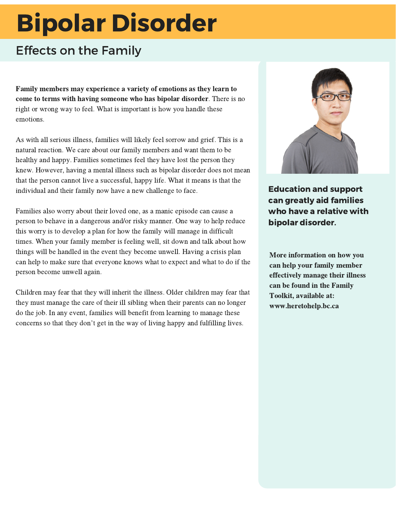# Bipolar Disorder

### Effects on the Family

Family members may experience a variety of emotions as they learn to come to terms with having someone who has bipolar disorder. There is no right or wrong way to feel. What is important is how you handle these emotions.

As with all serious illness, families will likely feel sorrow and grief. This is a natural reaction. We care about our family members and want them to be healthy and happy. Families sometimes feel they have lost the person they knew. However, having a mental illness such as bipolar disorder does not mean that the person cannot live a successful, happy life. What it means is that the individual and their family now have a new challenge to face.

Families also worry about their loved one, as a manic episode can cause a person to behave in a dangerous and/or risky manner. One way to help reduce this worry is to develop a plan for how the family will manage in difficult times. When your family member is feeling well, sit down and talk about how things will be handled in the event they become unwell. Having a crisis plan can help to make sure that everyone knows what to expect and what to do if the person become unwell again.

Children may fear that they will inherit the illness. Older children may fear that they must manage the care of their ill sibling when their parents can no longer do the job. In any event, families will benefit from learning to manage these concerns so that they don't get in the way of living happy and fulfilling lives.



Education and support can greatly aid families who have a relative with bipolar disorder.

More information on how you can help your family member effectively manage their illness can be found in the Family Toolkit, available at: www.heretohelp.bc.ca